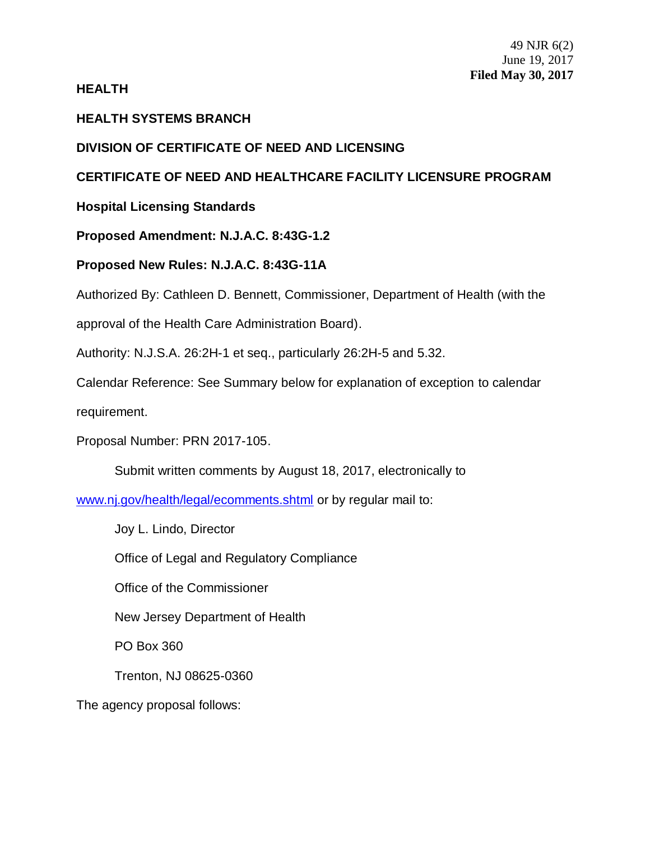# **HEALTH**

# **HEALTH SYSTEMS BRANCH**

# **DIVISION OF CERTIFICATE OF NEED AND LICENSING**

# **CERTIFICATE OF NEED AND HEALTHCARE FACILITY LICENSURE PROGRAM**

**Hospital Licensing Standards**

**Proposed Amendment: N.J.A.C. 8:43G-1.2**

**Proposed New Rules: N.J.A.C. 8:43G-11A**

Authorized By: Cathleen D. Bennett, Commissioner, Department of Health (with the

approval of the Health Care Administration Board).

Authority: N.J.S.A. 26:2H-1 et seq., particularly 26:2H-5 and 5.32.

Calendar Reference: See Summary below for explanation of exception to calendar requirement.

Proposal Number: PRN 2017-105.

Submit written comments by August 18, 2017, electronically to

www.nj.gov/health/legal/ecomments.shtml or by regular mail to:

Joy L. Lindo, Director

Office of Legal and Regulatory Compliance

Office of the Commissioner

New Jersey Department of Health

PO Box 360

Trenton, NJ 08625-0360

The agency proposal follows: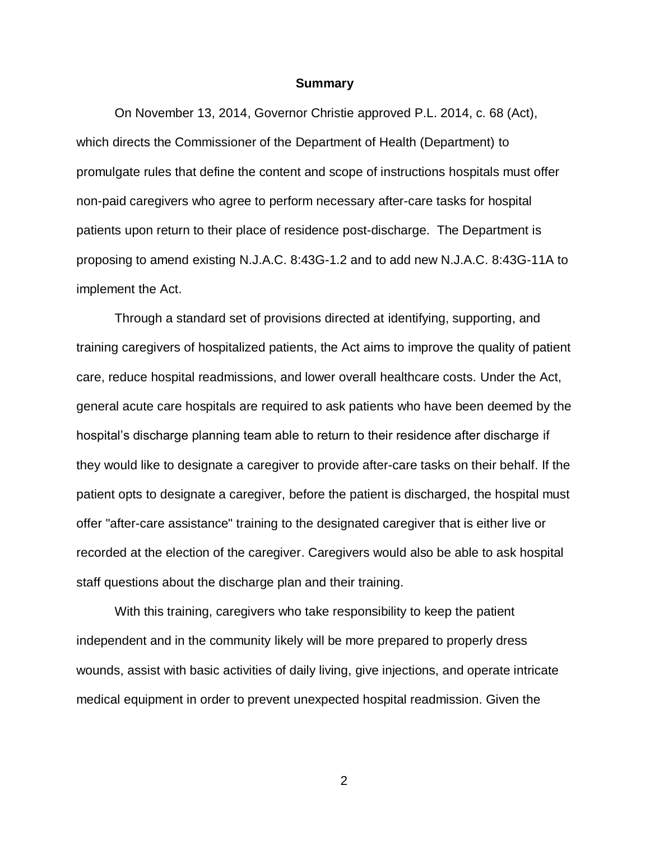#### **Summary**

On November 13, 2014, Governor Christie approved P.L. 2014, c. 68 (Act), which directs the Commissioner of the Department of Health (Department) to promulgate rules that define the content and scope of instructions hospitals must offer non-paid caregivers who agree to perform necessary after-care tasks for hospital patients upon return to their place of residence post-discharge. The Department is proposing to amend existing N.J.A.C. 8:43G-1.2 and to add new N.J.A.C. 8:43G-11A to implement the Act.

Through a standard set of provisions directed at identifying, supporting, and training caregivers of hospitalized patients, the Act aims to improve the quality of patient care, reduce hospital readmissions, and lower overall healthcare costs. Under the Act, general acute care hospitals are required to ask patients who have been deemed by the hospital's discharge planning team able to return to their residence after discharge if they would like to designate a caregiver to provide after-care tasks on their behalf. If the patient opts to designate a caregiver, before the patient is discharged, the hospital must offer "after-care assistance" training to the designated caregiver that is either live or recorded at the election of the caregiver. Caregivers would also be able to ask hospital staff questions about the discharge plan and their training.

With this training, caregivers who take responsibility to keep the patient independent and in the community likely will be more prepared to properly dress wounds, assist with basic activities of daily living, give injections, and operate intricate medical equipment in order to prevent unexpected hospital readmission. Given the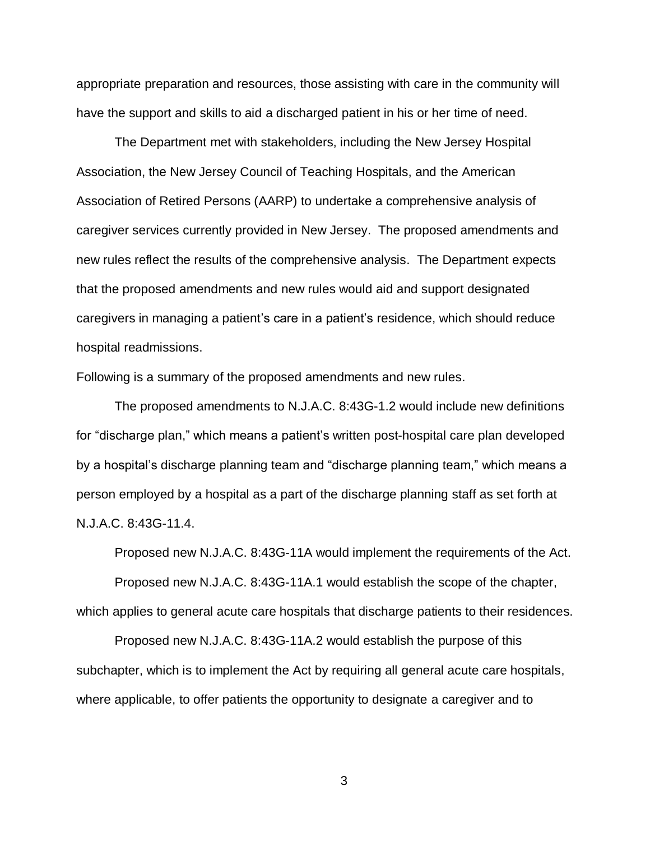appropriate preparation and resources, those assisting with care in the community will have the support and skills to aid a discharged patient in his or her time of need.

The Department met with stakeholders, including the New Jersey Hospital Association, the New Jersey Council of Teaching Hospitals, and the American Association of Retired Persons (AARP) to undertake a comprehensive analysis of caregiver services currently provided in New Jersey. The proposed amendments and new rules reflect the results of the comprehensive analysis. The Department expects that the proposed amendments and new rules would aid and support designated caregivers in managing a patient's care in a patient's residence, which should reduce hospital readmissions.

Following is a summary of the proposed amendments and new rules.

The proposed amendments to N.J.A.C. 8:43G-1.2 would include new definitions for "discharge plan," which means a patient's written post-hospital care plan developed by a hospital's discharge planning team and "discharge planning team," which means a person employed by a hospital as a part of the discharge planning staff as set forth at N.J.A.C. 8:43G-11.4.

Proposed new N.J.A.C. 8:43G-11A would implement the requirements of the Act. Proposed new N.J.A.C. 8:43G-11A.1 would establish the scope of the chapter, which applies to general acute care hospitals that discharge patients to their residences.

Proposed new N.J.A.C. 8:43G-11A.2 would establish the purpose of this subchapter, which is to implement the Act by requiring all general acute care hospitals, where applicable, to offer patients the opportunity to designate a caregiver and to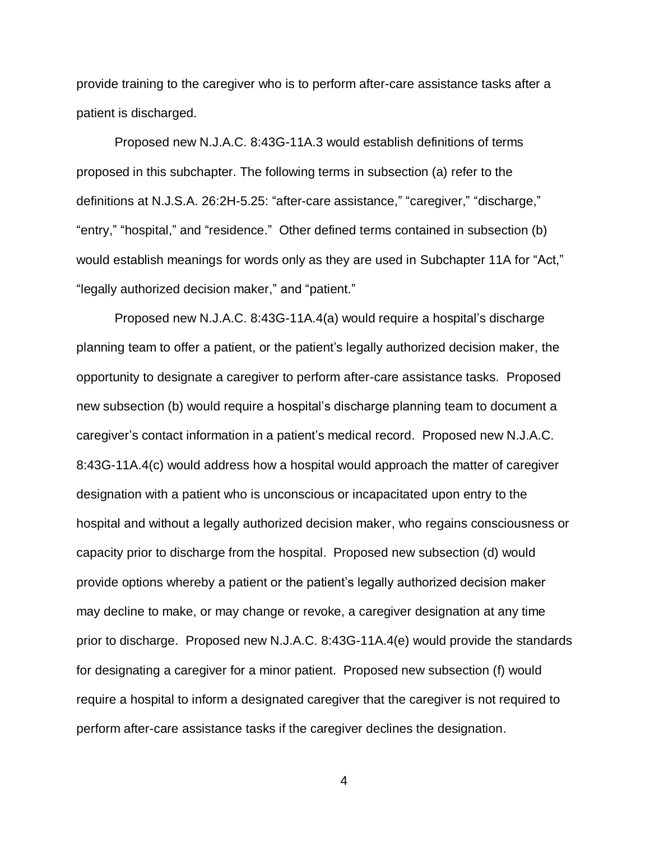provide training to the caregiver who is to perform after-care assistance tasks after a patient is discharged.

Proposed new N.J.A.C. 8:43G-11A.3 would establish definitions of terms proposed in this subchapter. The following terms in subsection (a) refer to the definitions at N.J.S.A. 26:2H-5.25: "after-care assistance," "caregiver," "discharge," "entry," "hospital," and "residence." Other defined terms contained in subsection (b) would establish meanings for words only as they are used in Subchapter 11A for "Act," "legally authorized decision maker," and "patient."

Proposed new N.J.A.C. 8:43G-11A.4(a) would require a hospital's discharge planning team to offer a patient, or the patient's legally authorized decision maker, the opportunity to designate a caregiver to perform after-care assistance tasks. Proposed new subsection (b) would require a hospital's discharge planning team to document a caregiver's contact information in a patient's medical record. Proposed new N.J.A.C. 8:43G-11A.4(c) would address how a hospital would approach the matter of caregiver designation with a patient who is unconscious or incapacitated upon entry to the hospital and without a legally authorized decision maker, who regains consciousness or capacity prior to discharge from the hospital. Proposed new subsection (d) would provide options whereby a patient or the patient's legally authorized decision maker may decline to make, or may change or revoke, a caregiver designation at any time prior to discharge. Proposed new N.J.A.C. 8:43G-11A.4(e) would provide the standards for designating a caregiver for a minor patient. Proposed new subsection (f) would require a hospital to inform a designated caregiver that the caregiver is not required to perform after-care assistance tasks if the caregiver declines the designation.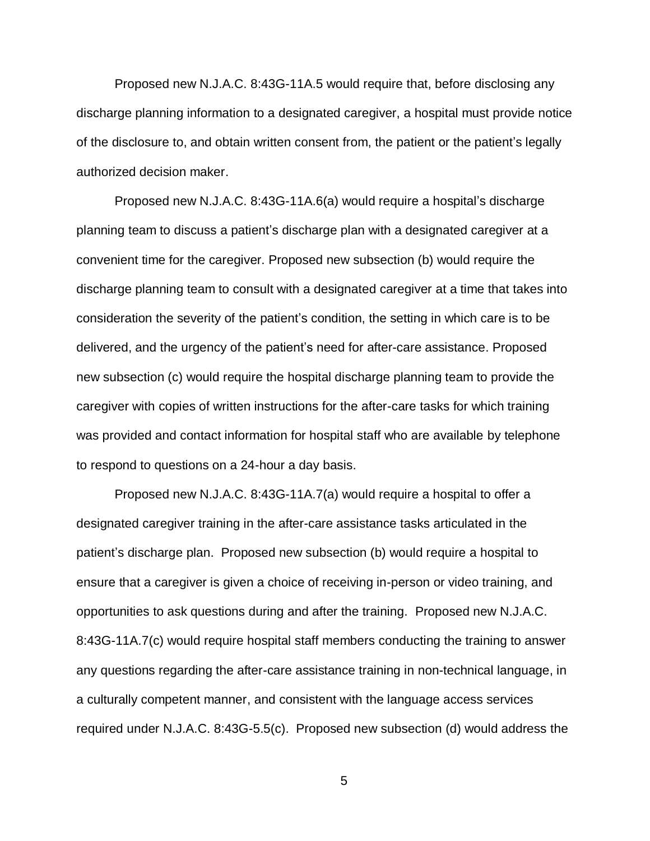Proposed new N.J.A.C. 8:43G-11A.5 would require that, before disclosing any discharge planning information to a designated caregiver, a hospital must provide notice of the disclosure to, and obtain written consent from, the patient or the patient's legally authorized decision maker.

Proposed new N.J.A.C. 8:43G-11A.6(a) would require a hospital's discharge planning team to discuss a patient's discharge plan with a designated caregiver at a convenient time for the caregiver. Proposed new subsection (b) would require the discharge planning team to consult with a designated caregiver at a time that takes into consideration the severity of the patient's condition, the setting in which care is to be delivered, and the urgency of the patient's need for after-care assistance. Proposed new subsection (c) would require the hospital discharge planning team to provide the caregiver with copies of written instructions for the after-care tasks for which training was provided and contact information for hospital staff who are available by telephone to respond to questions on a 24-hour a day basis.

Proposed new N.J.A.C. 8:43G-11A.7(a) would require a hospital to offer a designated caregiver training in the after-care assistance tasks articulated in the patient's discharge plan. Proposed new subsection (b) would require a hospital to ensure that a caregiver is given a choice of receiving in-person or video training, and opportunities to ask questions during and after the training. Proposed new N.J.A.C. 8:43G-11A.7(c) would require hospital staff members conducting the training to answer any questions regarding the after-care assistance training in non-technical language, in a culturally competent manner, and consistent with the language access services required under N.J.A.C. 8:43G-5.5(c). Proposed new subsection (d) would address the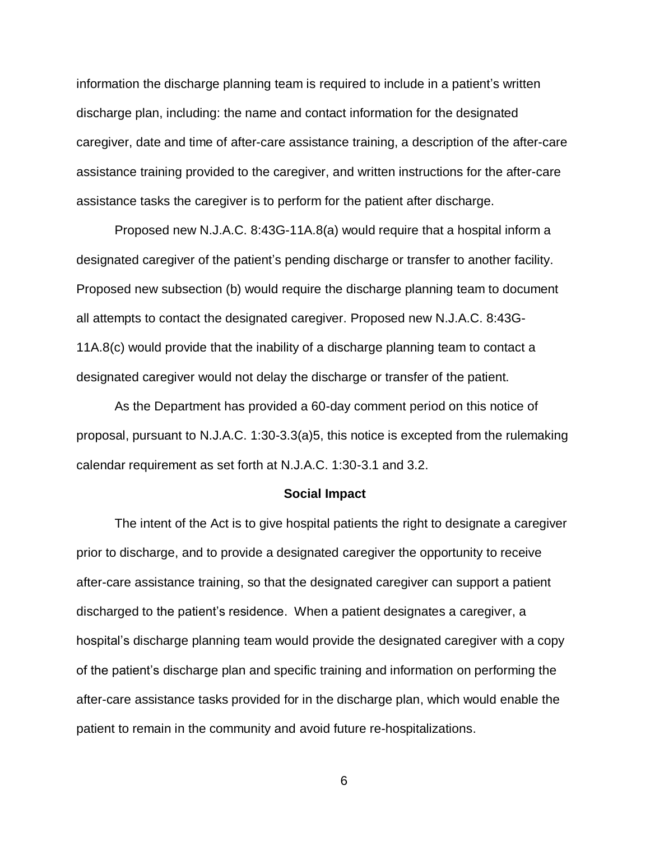information the discharge planning team is required to include in a patient's written discharge plan, including: the name and contact information for the designated caregiver, date and time of after-care assistance training, a description of the after-care assistance training provided to the caregiver, and written instructions for the after-care assistance tasks the caregiver is to perform for the patient after discharge.

Proposed new N.J.A.C. 8:43G-11A.8(a) would require that a hospital inform a designated caregiver of the patient's pending discharge or transfer to another facility. Proposed new subsection (b) would require the discharge planning team to document all attempts to contact the designated caregiver. Proposed new N.J.A.C. 8:43G-11A.8(c) would provide that the inability of a discharge planning team to contact a designated caregiver would not delay the discharge or transfer of the patient.

As the Department has provided a 60-day comment period on this notice of proposal, pursuant to N.J.A.C. 1:30-3.3(a)5, this notice is excepted from the rulemaking calendar requirement as set forth at N.J.A.C. 1:30-3.1 and 3.2.

#### **Social Impact**

The intent of the Act is to give hospital patients the right to designate a caregiver prior to discharge, and to provide a designated caregiver the opportunity to receive after-care assistance training, so that the designated caregiver can support a patient discharged to the patient's residence. When a patient designates a caregiver, a hospital's discharge planning team would provide the designated caregiver with a copy of the patient's discharge plan and specific training and information on performing the after-care assistance tasks provided for in the discharge plan, which would enable the patient to remain in the community and avoid future re-hospitalizations.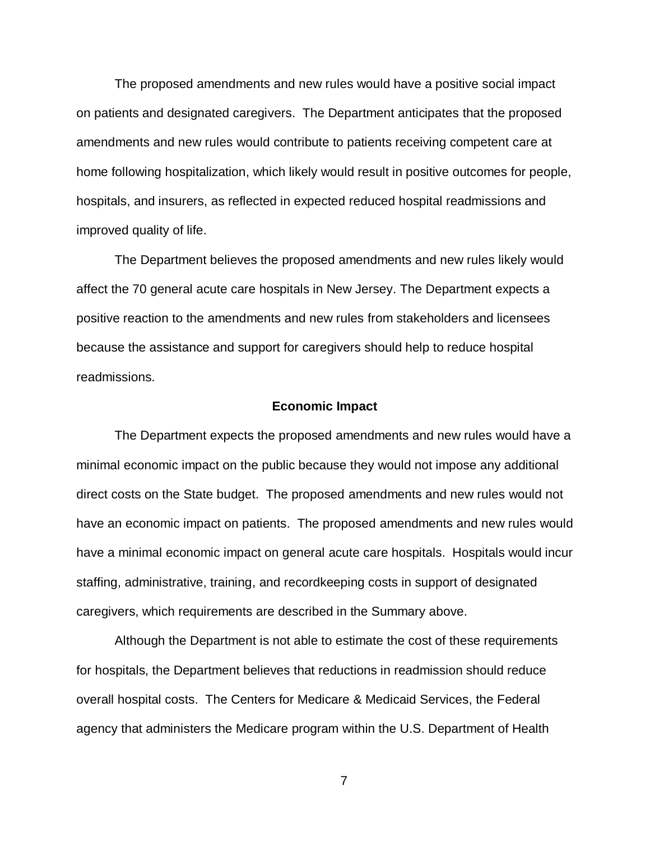The proposed amendments and new rules would have a positive social impact on patients and designated caregivers. The Department anticipates that the proposed amendments and new rules would contribute to patients receiving competent care at home following hospitalization, which likely would result in positive outcomes for people, hospitals, and insurers, as reflected in expected reduced hospital readmissions and improved quality of life.

The Department believes the proposed amendments and new rules likely would affect the 70 general acute care hospitals in New Jersey. The Department expects a positive reaction to the amendments and new rules from stakeholders and licensees because the assistance and support for caregivers should help to reduce hospital readmissions.

#### **Economic Impact**

The Department expects the proposed amendments and new rules would have a minimal economic impact on the public because they would not impose any additional direct costs on the State budget. The proposed amendments and new rules would not have an economic impact on patients. The proposed amendments and new rules would have a minimal economic impact on general acute care hospitals. Hospitals would incur staffing, administrative, training, and recordkeeping costs in support of designated caregivers, which requirements are described in the Summary above.

Although the Department is not able to estimate the cost of these requirements for hospitals, the Department believes that reductions in readmission should reduce overall hospital costs. The Centers for Medicare & Medicaid Services, the Federal agency that administers the Medicare program within the U.S. Department of Health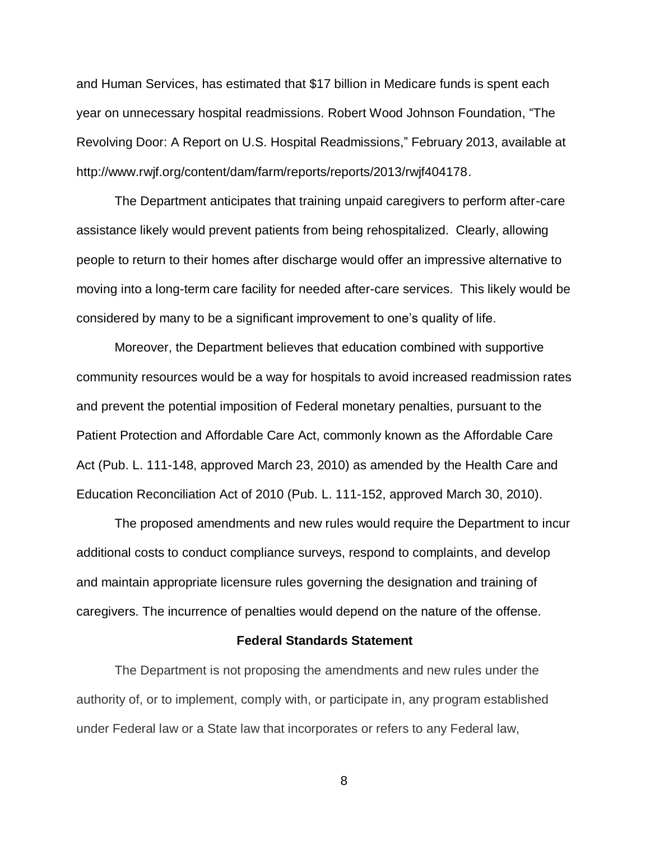and Human Services, has estimated that \$17 billion in Medicare funds is spent each year on unnecessary hospital readmissions. Robert Wood Johnson Foundation, "The Revolving Door: A Report on U.S. Hospital Readmissions," February 2013, available at http://www.rwjf.org/content/dam/farm/reports/reports/2013/rwjf404178.

The Department anticipates that training unpaid caregivers to perform after-care assistance likely would prevent patients from being rehospitalized. Clearly, allowing people to return to their homes after discharge would offer an impressive alternative to moving into a long-term care facility for needed after-care services. This likely would be considered by many to be a significant improvement to one's quality of life.

Moreover, the Department believes that education combined with supportive community resources would be a way for hospitals to avoid increased readmission rates and prevent the potential imposition of Federal monetary penalties, pursuant to the Patient Protection and Affordable Care Act, commonly known as the Affordable Care Act (Pub. L. 111-148, approved March 23, 2010) as amended by the Health Care and Education Reconciliation Act of 2010 (Pub. L. 111-152, approved March 30, 2010).

The proposed amendments and new rules would require the Department to incur additional costs to conduct compliance surveys, respond to complaints, and develop and maintain appropriate licensure rules governing the designation and training of caregivers. The incurrence of penalties would depend on the nature of the offense.

#### **Federal Standards Statement**

The Department is not proposing the amendments and new rules under the authority of, or to implement, comply with, or participate in, any program established under Federal law or a State law that incorporates or refers to any Federal law,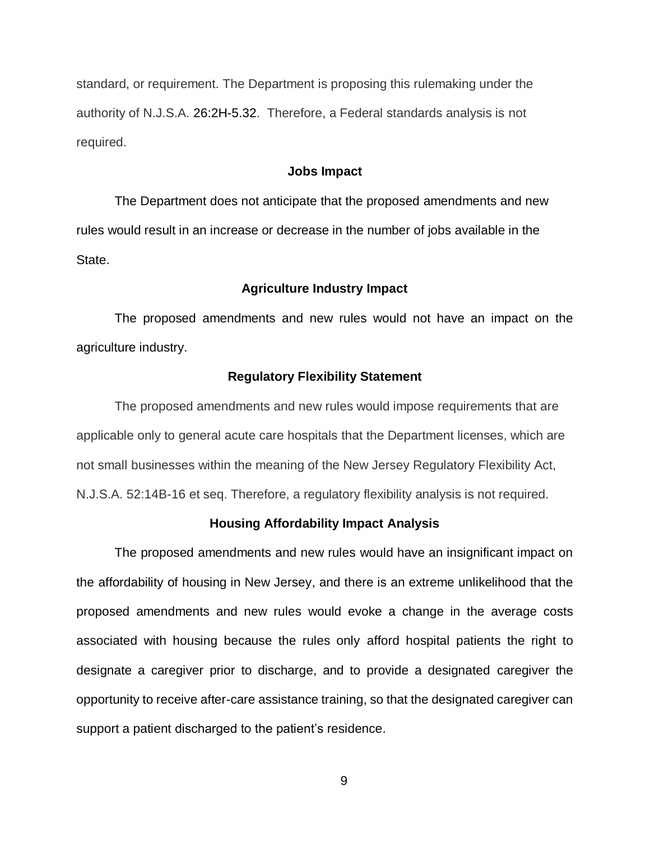standard, or requirement. The Department is proposing this rulemaking under the authority of N.J.S.A. 26:2H-5.32. Therefore, a Federal standards analysis is not required.

## **Jobs Impact**

The Department does not anticipate that the proposed amendments and new rules would result in an increase or decrease in the number of jobs available in the State.

## **Agriculture Industry Impact**

The proposed amendments and new rules would not have an impact on the agriculture industry.

### **Regulatory Flexibility Statement**

The proposed amendments and new rules would impose requirements that are applicable only to general acute care hospitals that the Department licenses, which are not small businesses within the meaning of the New Jersey Regulatory Flexibility Act, N.J.S.A. 52:14B-16 et seq. Therefore, a regulatory flexibility analysis is not required.

#### **Housing Affordability Impact Analysis**

The proposed amendments and new rules would have an insignificant impact on the affordability of housing in New Jersey, and there is an extreme unlikelihood that the proposed amendments and new rules would evoke a change in the average costs associated with housing because the rules only afford hospital patients the right to designate a caregiver prior to discharge, and to provide a designated caregiver the opportunity to receive after-care assistance training, so that the designated caregiver can support a patient discharged to the patient's residence.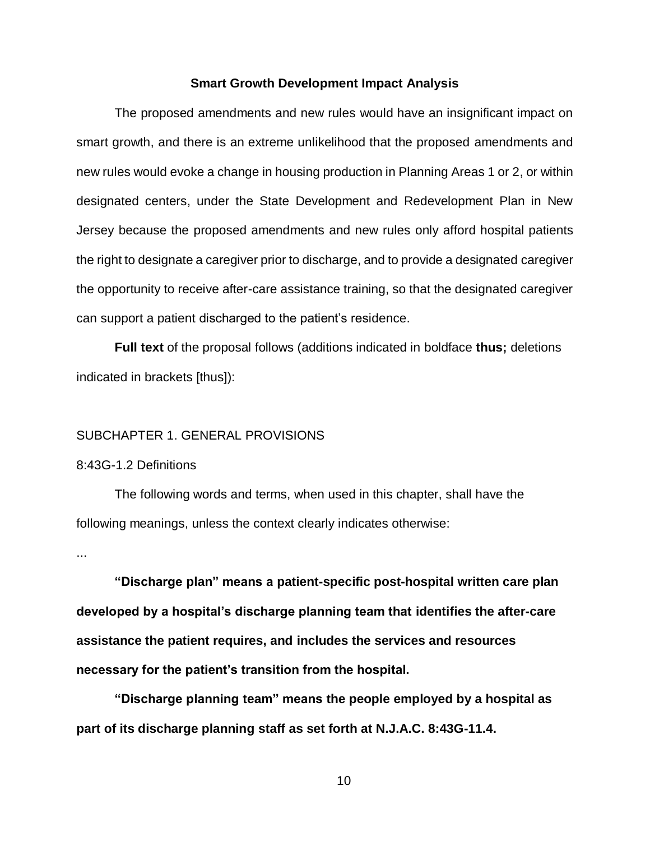#### **Smart Growth Development Impact Analysis**

The proposed amendments and new rules would have an insignificant impact on smart growth, and there is an extreme unlikelihood that the proposed amendments and new rules would evoke a change in housing production in Planning Areas 1 or 2, or within designated centers, under the State Development and Redevelopment Plan in New Jersey because the proposed amendments and new rules only afford hospital patients the right to designate a caregiver prior to discharge, and to provide a designated caregiver the opportunity to receive after-care assistance training, so that the designated caregiver can support a patient discharged to the patient's residence.

**Full text** of the proposal follows (additions indicated in boldface **thus;** deletions indicated in brackets [thus]):

## SUBCHAPTER 1. GENERAL PROVISIONS

## 8:43G-1.2 Definitions

The following words and terms, when used in this chapter, shall have the following meanings, unless the context clearly indicates otherwise:

...

**"Discharge plan" means a patient-specific post-hospital written care plan developed by a hospital's discharge planning team that identifies the after-care assistance the patient requires, and includes the services and resources necessary for the patient's transition from the hospital.**

**"Discharge planning team" means the people employed by a hospital as part of its discharge planning staff as set forth at N.J.A.C. 8:43G-11.4.**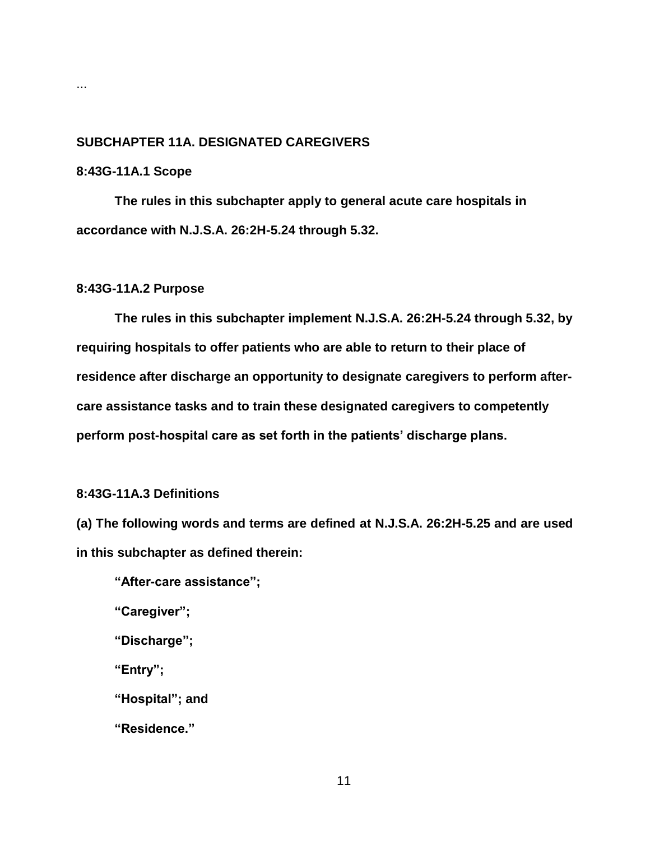# **SUBCHAPTER 11A. DESIGNATED CAREGIVERS**

## **8:43G-11A.1 Scope**

**The rules in this subchapter apply to general acute care hospitals in accordance with N.J.S.A. 26:2H-5.24 through 5.32.**

## **8:43G-11A.2 Purpose**

**The rules in this subchapter implement N.J.S.A. 26:2H-5.24 through 5.32, by requiring hospitals to offer patients who are able to return to their place of residence after discharge an opportunity to designate caregivers to perform aftercare assistance tasks and to train these designated caregivers to competently perform post-hospital care as set forth in the patients' discharge plans.**

## **8:43G-11A.3 Definitions**

**(a) The following words and terms are defined at N.J.S.A. 26:2H-5.25 and are used in this subchapter as defined therein:**

**"After-care assistance";**

**"Caregiver";**

**"Discharge";**

**"Entry";**

**"Hospital"; and**

**"Residence."**

...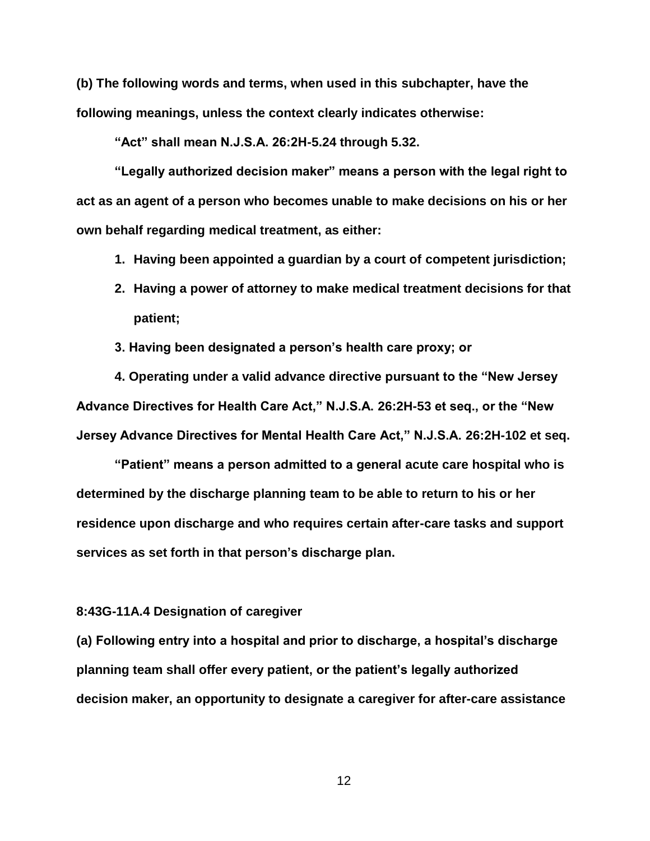**(b) The following words and terms, when used in this subchapter, have the following meanings, unless the context clearly indicates otherwise:**

**"Act" shall mean N.J.S.A. 26:2H-5.24 through 5.32.**

**"Legally authorized decision maker" means a person with the legal right to act as an agent of a person who becomes unable to make decisions on his or her own behalf regarding medical treatment, as either:**

- **1. Having been appointed a guardian by a court of competent jurisdiction;**
- **2. Having a power of attorney to make medical treatment decisions for that patient;**
- **3. Having been designated a person's health care proxy; or**

**4. Operating under a valid advance directive pursuant to the "New Jersey Advance Directives for Health Care Act," N.J.S.A. 26:2H-53 et seq., or the "New Jersey Advance Directives for Mental Health Care Act," N.J.S.A. 26:2H-102 et seq.**

**"Patient" means a person admitted to a general acute care hospital who is determined by the discharge planning team to be able to return to his or her residence upon discharge and who requires certain after-care tasks and support services as set forth in that person's discharge plan.**

## **8:43G-11A.4 Designation of caregiver**

**(a) Following entry into a hospital and prior to discharge, a hospital's discharge planning team shall offer every patient, or the patient's legally authorized decision maker, an opportunity to designate a caregiver for after-care assistance**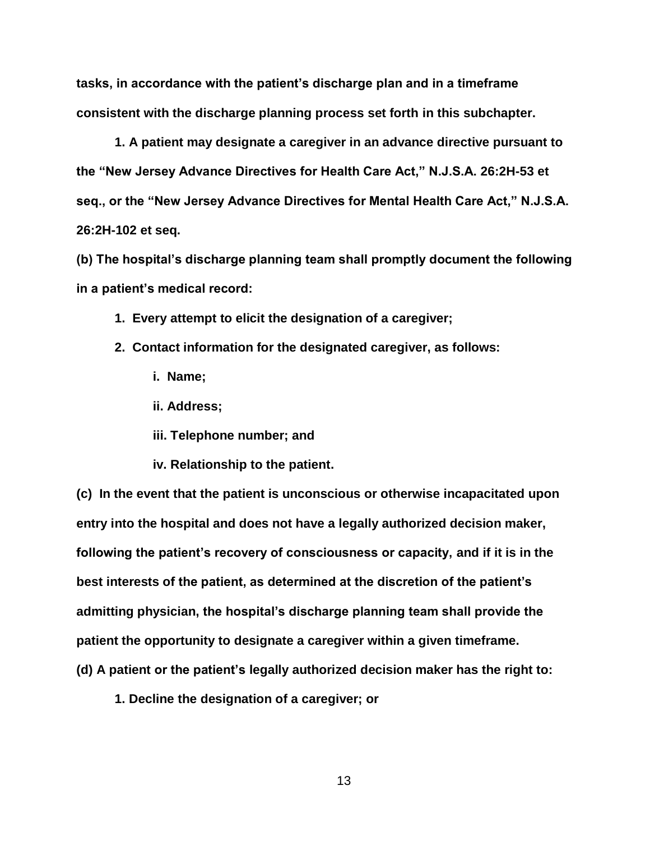**tasks, in accordance with the patient's discharge plan and in a timeframe consistent with the discharge planning process set forth in this subchapter.**

**1. A patient may designate a caregiver in an advance directive pursuant to the "New Jersey Advance Directives for Health Care Act," N.J.S.A. 26:2H-53 et seq., or the "New Jersey Advance Directives for Mental Health Care Act," N.J.S.A. 26:2H-102 et seq.**

**(b) The hospital's discharge planning team shall promptly document the following in a patient's medical record:**

- **1. Every attempt to elicit the designation of a caregiver;**
- **2. Contact information for the designated caregiver, as follows:**
	- **i. Name;**
	- **ii. Address;**
	- **iii. Telephone number; and**
	- **iv. Relationship to the patient.**

**(c) In the event that the patient is unconscious or otherwise incapacitated upon entry into the hospital and does not have a legally authorized decision maker, following the patient's recovery of consciousness or capacity, and if it is in the best interests of the patient, as determined at the discretion of the patient's admitting physician, the hospital's discharge planning team shall provide the patient the opportunity to designate a caregiver within a given timeframe. (d) A patient or the patient's legally authorized decision maker has the right to:**

**1. Decline the designation of a caregiver; or**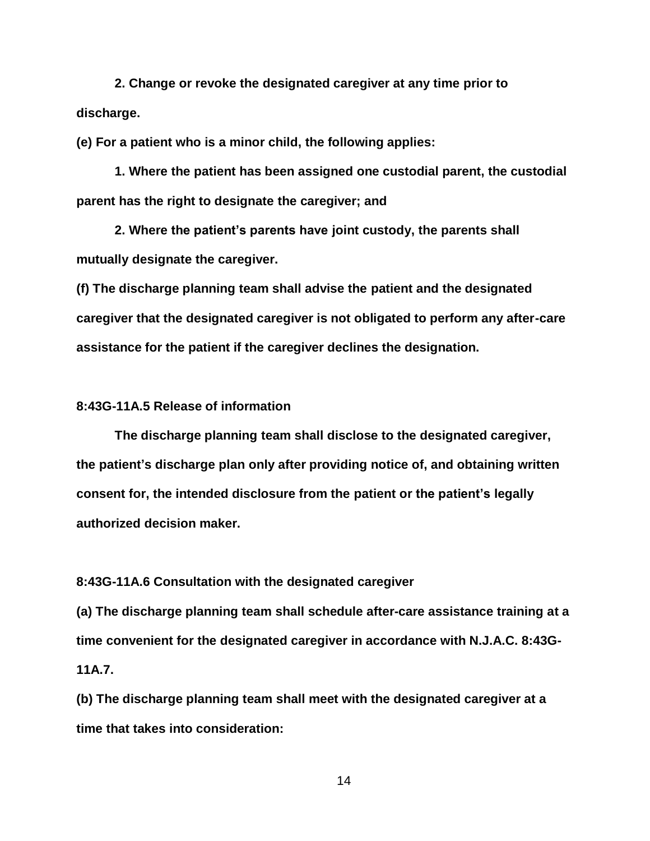**2. Change or revoke the designated caregiver at any time prior to discharge.**

**(e) For a patient who is a minor child, the following applies:**

**1. Where the patient has been assigned one custodial parent, the custodial parent has the right to designate the caregiver; and**

**2. Where the patient's parents have joint custody, the parents shall mutually designate the caregiver.**

**(f) The discharge planning team shall advise the patient and the designated caregiver that the designated caregiver is not obligated to perform any after-care assistance for the patient if the caregiver declines the designation.**

## **8:43G-11A.5 Release of information**

**The discharge planning team shall disclose to the designated caregiver, the patient's discharge plan only after providing notice of, and obtaining written consent for, the intended disclosure from the patient or the patient's legally authorized decision maker.**

**8:43G-11A.6 Consultation with the designated caregiver**

**(a) The discharge planning team shall schedule after-care assistance training at a time convenient for the designated caregiver in accordance with N.J.A.C. 8:43G-11A.7.**

**(b) The discharge planning team shall meet with the designated caregiver at a time that takes into consideration:**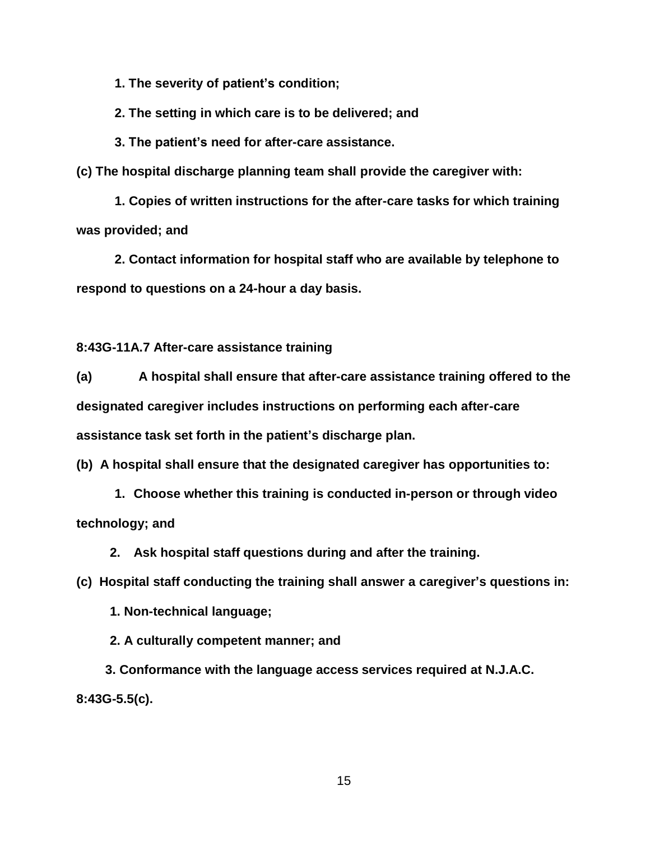**1. The severity of patient's condition;**

**2. The setting in which care is to be delivered; and**

**3. The patient's need for after-care assistance.**

**(c) The hospital discharge planning team shall provide the caregiver with:**

**1. Copies of written instructions for the after-care tasks for which training was provided; and**

**2. Contact information for hospital staff who are available by telephone to respond to questions on a 24-hour a day basis.**

**8:43G-11A.7 After-care assistance training**

**(a) A hospital shall ensure that after-care assistance training offered to the designated caregiver includes instructions on performing each after-care assistance task set forth in the patient's discharge plan.**

**(b) A hospital shall ensure that the designated caregiver has opportunities to:**

**1. Choose whether this training is conducted in-person or through video technology; and**

**2. Ask hospital staff questions during and after the training.**

**(c) Hospital staff conducting the training shall answer a caregiver's questions in:**

**1. Non-technical language;**

**2. A culturally competent manner; and**

**3. Conformance with the language access services required at N.J.A.C. 8:43G-5.5(c).**